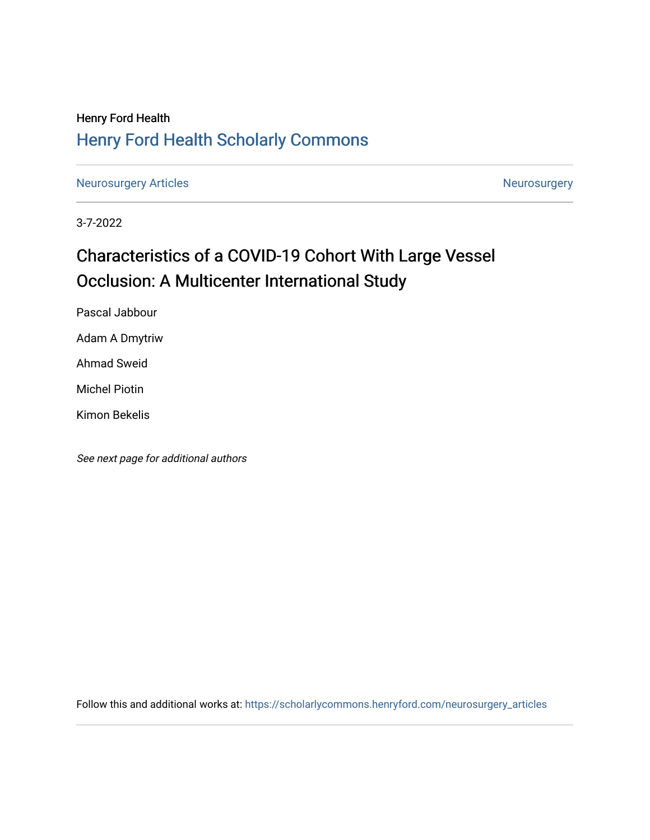# Henry Ford Health [Henry Ford Health Scholarly Commons](https://scholarlycommons.henryford.com/)

[Neurosurgery Articles](https://scholarlycommons.henryford.com/neurosurgery_articles) **Neurosurgery** Neurosurgery

3-7-2022

# Characteristics of a COVID-19 Cohort With Large Vessel Occlusion: A Multicenter International Study

Pascal Jabbour

Adam A Dmytriw

Ahmad Sweid

Michel Piotin

Kimon Bekelis

See next page for additional authors

Follow this and additional works at: [https://scholarlycommons.henryford.com/neurosurgery\\_articles](https://scholarlycommons.henryford.com/neurosurgery_articles?utm_source=scholarlycommons.henryford.com%2Fneurosurgery_articles%2F442&utm_medium=PDF&utm_campaign=PDFCoverPages)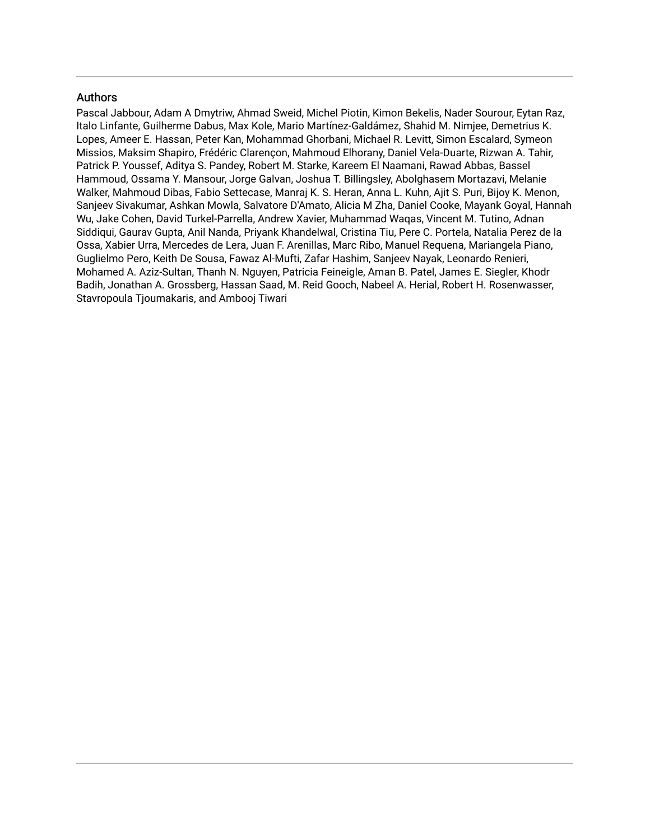# Authors

Pascal Jabbour, Adam A Dmytriw, Ahmad Sweid, Michel Piotin, Kimon Bekelis, Nader Sourour, Eytan Raz, Italo Linfante, Guilherme Dabus, Max Kole, Mario Martínez-Galdámez, Shahid M. Nimjee, Demetrius K. Lopes, Ameer E. Hassan, Peter Kan, Mohammad Ghorbani, Michael R. Levitt, Simon Escalard, Symeon Missios, Maksim Shapiro, Frédéric Clarençon, Mahmoud Elhorany, Daniel Vela-Duarte, Rizwan A. Tahir, Patrick P. Youssef, Aditya S. Pandey, Robert M. Starke, Kareem El Naamani, Rawad Abbas, Bassel Hammoud, Ossama Y. Mansour, Jorge Galvan, Joshua T. Billingsley, Abolghasem Mortazavi, Melanie Walker, Mahmoud Dibas, Fabio Settecase, Manraj K. S. Heran, Anna L. Kuhn, Ajit S. Puri, Bijoy K. Menon, Sanjeev Sivakumar, Ashkan Mowla, Salvatore D'Amato, Alicia M Zha, Daniel Cooke, Mayank Goyal, Hannah Wu, Jake Cohen, David Turkel-Parrella, Andrew Xavier, Muhammad Waqas, Vincent M. Tutino, Adnan Siddiqui, Gaurav Gupta, Anil Nanda, Priyank Khandelwal, Cristina Tiu, Pere C. Portela, Natalia Perez de la Ossa, Xabier Urra, Mercedes de Lera, Juan F. Arenillas, Marc Ribo, Manuel Requena, Mariangela Piano, Guglielmo Pero, Keith De Sousa, Fawaz Al-Mufti, Zafar Hashim, Sanjeev Nayak, Leonardo Renieri, Mohamed A. Aziz-Sultan, Thanh N. Nguyen, Patricia Feineigle, Aman B. Patel, James E. Siegler, Khodr Badih, Jonathan A. Grossberg, Hassan Saad, M. Reid Gooch, Nabeel A. Herial, Robert H. Rosenwasser, Stavropoula Tjoumakaris, and Ambooj Tiwari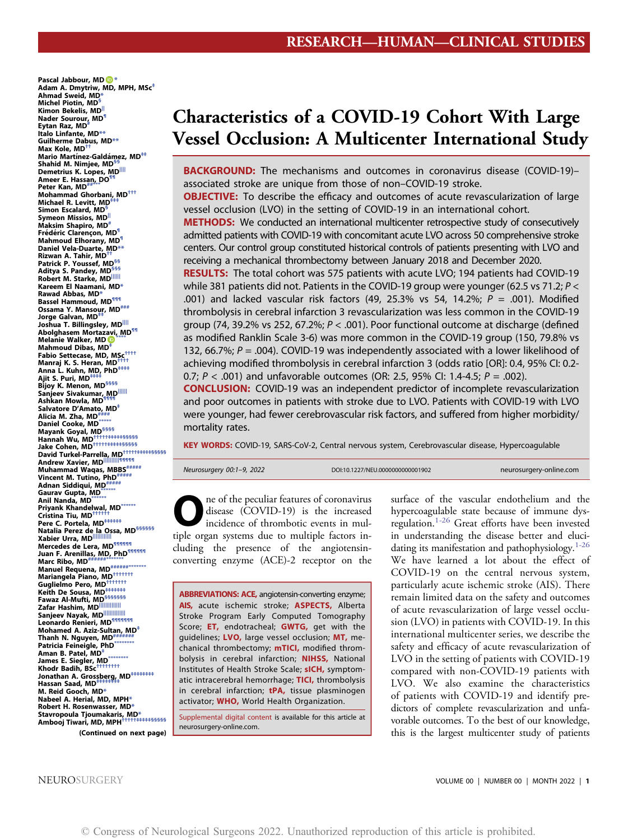Pascal Jabbour, M[D](https://orcid.org/0000-0002-8965-2413) Adam A. Dmytriw, MD, MPH, MSc[‡](#page-3-0) Ahmad Sweid, MD[\\*](#page-3-0) Michel Piotin, MD[§](#page-3-1) Kimon Bekelis, MD<sup>[||](#page-3-1)</sup> Nader Sourour, MD[¶](#page-3-2) Eytan Raz, MD<sup>#</sup> Italo Linfante, M[D\\*\\*](#page-3-3) Guilherme Dabus, MD[\\*\\*](#page-3-3) Max Kole, MD[††](#page-3-4) Mario Martínez-Galdámez, MD<sup>##</sup> Shahid M. Nimjee, MD<sup>§</sup> Demetrius K. Lopes, MD Ameer E. Hassan, DO<sup>®</sup> Peter Kan, MD<sup>[##](#page-3-6)</sup> Mohammad Ghorbani, MD[†††](#page-3-7) Michael R. Levitt, MD<sup>1</sup> Simon Escalard, MD Symeon Missios, MD Maksim Shapiro, MD<sup>+</sup> Frédéric Clarencon, MD<sup>®</sup> Mahmoud Elhorany, MD<sup>®</sup> Daniel Vela-Duarte, MD[\\*\\*](#page-3-3)<br>Rizwan A. Tahir, MD<sup>++</sup> Patrick P. Youssef, MD<sup>§§</sup> Aditya S. Pandey, MD[§§§](#page-3-8) n Kobert M. Starke, M[D||||||](#page-3-9)|<br>Robert M. Starke, MD||||||<br>Kareem El Naamani, MD[\\*](#page-3-0) Rawad Abbas, MD[\\*](#page-3-0) Bassel Hammoud, MD<sup>111</sup> ossama Y. Mansour, MD\*\*\*<br>Ossama Y. Mansour, MD\*\*\*<br>Jorge Galvan, MD<sup>\*\*</sup> Joshua T. Billingsley, MD Abolghasem Mortaz[avi](https://orcid.org/0000-0002-8995-4657), MD[¶¶](#page-3-6) Melanie Walker, MD Mahmoud Dibas, MD<sup>1</sup> Fabio Settecase, MD, MSc<sup>[††††](#page-3-11)</sup> Manraj K. S. Heran, MD<sup>†</sup> Anna L. Kuhn, MD, PhD[‡‡‡‡](#page-3-12)<br>Ajit S. Puri, MD‡‡‡‡ Bijoy K. Menon, MD<sup>[§§§§](#page-3-12)</sup> Sanjeev Sivakumar, MD<sup>[||||||](#page-3-9)</sup><br>Ashkan Mowla, MD<sup>¶¶¶</sup> Salvatore D'Amato, MD<sup>[‡](#page-3-0)</sup> Alicia M. Zha, MD $^{\#}$ Daniel Cooke, MD<sup>\*\*</sup> Mayank Goyal, MD<sup>[§§§§](#page-3-12)</sup> Hannah Wu, MD<sup>[†††††‡‡‡‡‡](#page-3-15)[§§§§§](#page-3-16)</sup> Jake Cohen, MD<sup>†††††</sup>††††[§§§§§](#page-3-16) David Turkel-Parrella, MD<sup>†††††‡‡‡‡[§§§§§](#page-3-16)</sup> Andrew Xavier, MD[||||||||||](#page-3-16)[¶¶¶¶¶](#page-3-17) Muhammad Waqas, MBBS<sup>[#####](#page-3-17)</sup> Vincent M. Tutino, PhD[#####](#page-3-17)<br>Adnan Siddiqui, MD#####<br>Adnan Siddiqui, MD##### Gaurav Gupta, MD\*\*\* Anil Nanda, M[D\\*\\*\\*\\*\\*\\*](#page-3-18) Priyank Khandelwal, MD[\\*\\*\\*\\*\\*\\*](#page-3-18)<br>Cristina Tiu, MD<sup>†††††</sup>†† Pere C. Portela, MD<sup>[‡‡‡‡‡‡](#page-3-19)</sup> Natalia Perez de la Ossa, MD<sup>[§§§§§§](#page-3-20)</sup> Xabier Urra, MD<mark>IIIIIIIIIII</mark><br>Mercedes de Lera, MD<sup>¶¶¶¶¶</sup>¶ Juan F. Arenillas, MD, PhD<sup>¶¶¶¶¶</sup>¶<br>Marc Ribo, MD<sup>[######](#page-3-22)\*\*\*\*\*\*</sup>[\\*\\*\\*\\*\\*\\*\\*](#page-3-23)\*\*\*\* Marc Ribo, MD<sup>[######](#page-3-22)\*\*\*\*\*\*</sup><br>Manuel Requena, MD<sup>#####[\\*\\*\\*\\*\\*\\*\\*](#page-3-23)</sup> Mariangela Piano, MD[†††††††](#page-3-19) Guglielmo Pero, MD[†††††††](#page-3-19)<br>Keith De Sousa, MD<del>‡‡††††</del>† Fawaz Al-Mufti, MD<sup>[§§§§§§§](#page-3-20)</sup><br>Zafar Hashim, MD<sup>||||</sup>|||||||||||| Sanjeev Nayak, MD[||||||||||||||](#page-3-21) Leonardo Renieri, MD<sup>¶¶¶¶¶¶</sup> Mohamed A. Aziz-Sultan, MD<sup>+</sup> Thanh N. Nguyen,  $MD^*$ Patricia Feineigle, PhD[\\*\\*\\*\\*\\*\\*\\*\\*](#page-3-23)<br>Aman B. Patel, MD<sup>[‡](#page-3-0)</sup> James E. Siegler, MD[\\*\\*\\*\\*\\*\\*\\*\\*](#page-3-23)<br>Khodr Badih, BSc<sup>†††††††</sup>† Jonathan A. Grossberg, MD<sup>[‡‡‡‡‡‡‡‡](#page-3-19)</sup> Hassan Saad, MD<sup>+</sup> M. Reid Gooch, M[D\\*](#page-3-0) Nabeel A. Herial, MD, MP[H\\*](#page-3-0) Robert H. Rosenwasser, M[D\\*](#page-3-0) Stavropoula Tjoumakaris, MD[\\*](#page-3-0) Ambooj Tiwari, MD, MPH[†††††‡‡‡‡‡](#page-3-15)[§§§§§](#page-3-16) (Continued on next page)

# Characteristics of a COVID-19 Cohort With Large Vessel Occlusion: A Multicenter International Study

BACKGROUND: The mechanisms and outcomes in coronavirus disease (COVID-19)associated stroke are unique from those of non–COVID-19 stroke. **OBJECTIVE:** To describe the efficacy and outcomes of acute revascularization of large vessel occlusion (LVO) in the setting of COVID-19 in an international cohort. **METHODS:** We conducted an international multicenter retrospective study of consecutively admitted patients with COVID-19 with concomitant acute LVO across 50 comprehensive stroke centers. Our control group constituted historical controls of patients presenting with LVO and receiving a mechanical thrombectomy between January 2018 and December 2020. RESULTS: The total cohort was 575 patients with acute LVO; 194 patients had COVID-19 while 381 patients did not. Patients in the COVID-19 group were younger (62.5 vs 71.2;  $P$  < .001) and lacked vascular risk factors  $(49, 25.3\% \text{ vs } 54, 14.2\%; P = .001)$ . Modified thrombolysis in cerebral infarction 3 revascularization was less common in the COVID-19 group (74, 39.2% vs 252, 67.2%;  $P < .001$ ). Poor functional outcome at discharge (defined as modified Ranklin Scale 3-6) was more common in the COVID-19 group (150, 79.8% vs 132, 66.7%;  $P = 0.004$ ). COVID-19 was independently associated with a lower likelihood of achieving modified thrombolysis in cerebral infarction 3 (odds ratio [OR]: 0.4, 95% CI: 0.2- 0.7;  $P < .001$ ) and unfavorable outcomes (OR: 2.5, 95% Cl: 1.4-4.5;  $P = .002$ ).

CONCLUSION: COVID-19 was an independent predictor of incomplete revascularization and poor outcomes in patients with stroke due to LVO. Patients with COVID-19 with LVO were younger, had fewer cerebrovascular risk factors, and suffered from higher morbidity/ mortality rates.

KEY WORDS: COVID-19, SARS-CoV-2, Central nervous system, Cerebrovascular disease, Hypercoagulable

| Neurosurgery 00:1-9, 2022 | DOI:10.1227/NEU.00000000000001902 | neurosurgery-online.com |
|---------------------------|-----------------------------------|-------------------------|
|---------------------------|-----------------------------------|-------------------------|

ne of the peculiar features of coronavirus disease (COVID-19) is the increased incidence of thrombotic events in multiple organ systems due to multiple factors including the presence of the angiotensinconverting enzyme (ACE)-2 receptor on the

ABBREVIATIONS: ACE, angiotensin-converting enzyme; AIS, acute ischemic stroke; ASPECTS, Alberta Stroke Program Early Computed Tomography Score; ET, endotracheal; GWTG, get with the guidelines; LVO, large vessel occlusion; MT, mechanical thrombectomy; mTICI, modified thrombolysis in cerebral infarction; NIHSS, National Institutes of Health Stroke Scale; sICH, symptomatic intracerebral hemorrhage; TICI, thrombolysis in cerebral infarction; tPA, tissue plasminogen activator; **WHO**, World Health Organization.

Supplemental digital content is available for this article at neurosurgery-online.com.

surface of the vascular endothelium and the hypercoagulable state because of immune dys-regulation.<sup>1-[26](#page-9-1)</sup> Great efforts have been invested in understanding the disease better and elucidating its manifestation and pathophysiology. $1-26$  $1-26$  $1-26$ We have learned a lot about the effect of COVID-19 on the central nervous system, particularly acute ischemic stroke (AIS). There remain limited data on the safety and outcomes of acute revascularization of large vessel occlusion (LVO) in patients with COVID-19. In this international multicenter series, we describe the safety and efficacy of acute revascularization of LVO in the setting of patients with COVID-19 compared with non-COVID-19 patients with LVO. We also examine the characteristics of patients with COVID-19 and identify predictors of complete revascularization and unfavorable outcomes. To the best of our knowledge, this is the largest multicenter study of patients

NEUROSURGERY **VOLUME 00 | NUMBER 00 | NONTH 2022 | 1**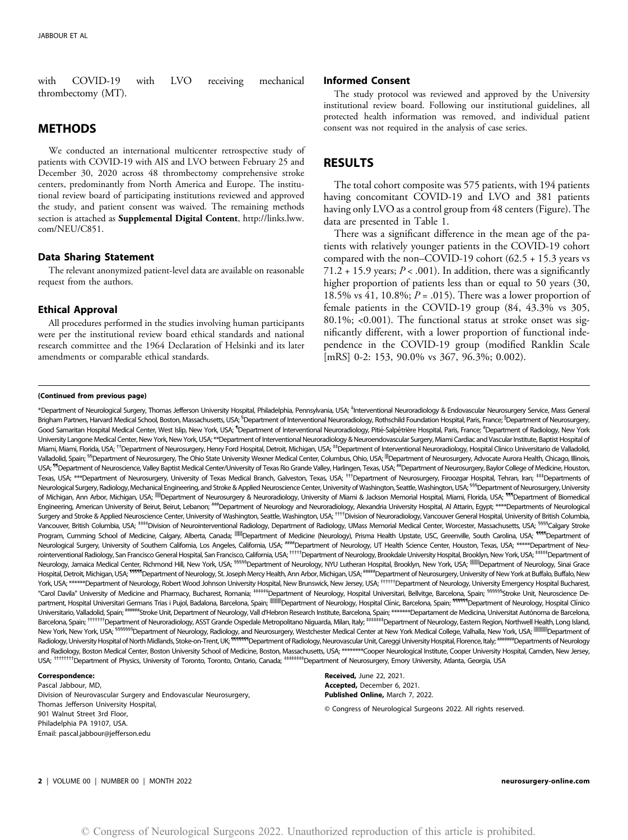with COVID-19 with LVO receiving mechanical thrombectomy (MT).

# METHODS

We conducted an international multicenter retrospective study of patients with COVID-19 with AIS and LVO between February 25 and December 30, 2020 across 48 thrombectomy comprehensive stroke centers, predominantly from North America and Europe. The institutional review board of participating institutions reviewed and approved the study, and patient consent was waived. The remaining methods section is attached as Supplemental Digital Content, [http://links.lww.](http://links.lww.com/NEU/C851) [com/NEU/C851.](http://links.lww.com/NEU/C851)

## Data Sharing Statement

The relevant anonymized patient-level data are available on reasonable request from the authors.

## Ethical Approval

All procedures performed in the studies involving human participants were per the institutional review board ethical standards and national research committee and the 1964 Declaration of Helsinki and its later amendments or comparable ethical standards.

#### (Continued from previous page)

### Informed Consent

The study protocol was reviewed and approved by the University institutional review board. Following our institutional guidelines, all protected health information was removed, and individual patient consent was not required in the analysis of case series.

# RESULTS

The total cohort composite was 575 patients, with 194 patients having concomitant COVID-19 and LVO and 381 patients having only LVO as a control group from 48 centers ([Figure](#page-4-0)). The data are presented in Table [1](#page-5-0).

There was a significant difference in the mean age of the patients with relatively younger patients in the COVID-19 cohort compared with the non–COVID-19 cohort (62.5 + 15.3 years vs  $71.2 + 15.9$  years;  $P < .001$ ). In addition, there was a significantly higher proportion of patients less than or equal to 50 years (30, 18.5% vs 41, 10.8%;  $P = .015$ ). There was a lower proportion of female patients in the COVID-19 group (84, 43.3% vs 305, 80.1%; <0.001). The functional status at stroke onset was significantly different, with a lower proportion of functional independence in the COVID-19 group (modified Ranklin Scale [mRS] 0-2: 153, 90.0% vs 367, 96.3%; 0.002).

<span id="page-3-14"></span><span id="page-3-13"></span><span id="page-3-12"></span><span id="page-3-11"></span><span id="page-3-10"></span><span id="page-3-9"></span><span id="page-3-8"></span><span id="page-3-7"></span><span id="page-3-6"></span><span id="page-3-5"></span><span id="page-3-4"></span><span id="page-3-3"></span><span id="page-3-2"></span><span id="page-3-1"></span><span id="page-3-0"></span>\*Department of Neurological Surgery, Thomas Jefferson University Hospital, Philadelphia, Pennsylvania, USA; ‡ Interventional Neuroradiology & Endovascular Neurosurgery Service, Mass General Brigham Partners, Harvard Medical School, Boston, Massachusetts, USA; <sup>s</sup>Department of Interventional Neuroradiology, Rothschild Foundation Hospital, Paris, France; <sup>II</sup>Department of Neurosurgery Good Samaritan Hospital Medical Center, West Islip, New York, USA; <sup>¶</sup>Department of Interventional Neuroradiology, Pitié-Salpêtrière Hospital, Paris, France; <sup>#</sup>Department of Radiology, New York University Langone Medical Center, New York, New York, USA; \*\*Department of Interventional Neuroradiology & Neuroendovascular Surgery, Miami Cardiac and Vascular Institute, Baptist Hospital of Miami, Miami, Florida, USA; <sup>††</sup>Department of Neurosurgery, Henry Ford Hospital, Detroit, Michigan, USA; <sup>‡†</sup>Department of Interventional Neuroradiology, Hospital Clinico Universitario de Valladolid, Valladolid, Spain; <sup>55</sup>Department of Neurosurgery, The Ohio State University Wexner Medical Center, Columbus, Ohio, USA; <sup>III</sup>Department of Neurosurgery, Advocate Aurora Health, Chicago, Illinois, USA; <sup>11</sup>Department of Neuroscience, Valley Baptist Medical Center/University of Texas Rio Grande Valley, Harlingen, Texas, USA; <sup>##</sup>Department of Neurosurgery, Baylor College of Medicine, Houston, Texas, USA; \*\*\*Department of Neurosurgery, University of Texas Medical Branch, Galveston, Texas, USA; <sup>†††</sup>Department of Neurosurgery, Firoozgar Hospital, Tehran, Iran; <sup>##†</sup>Departments of Neurological Surgery, Radiology, Mechanical Engineering, and Stroke & Applied Neuroscience Center, University of Washington, Seattle, Washington, USA; <sup>§§§</sup>Department of Neurosurgery, University of Michigan, Ann Arbor, Michigan, USA; <sup>IIIII</sup> Department of Neurosurgery & Neuroradiology, University of Miami & Jackson Memorial Hospital, Miami, Florida, USA; <sup>1111</sup> Department of Biomedical Engineering, American University of Beirut, Beirut, Lebanon; ###Department of Neurology and Neuroradiology, Alexandria University Hospital, Al Attarin, Egypt; \*\*\*\*Departments of Neurological Surgery and Stroke & Applied Neuroscience Center, University of Washington, Seattle, Washington, USA; ††††Division of Neuroradiology, Vancouver General Hospital, University of British Columbia, Vancouver, British Columbia, USA; <sup>###</sup>Division of Neurointerventional Radiology, Department of Radiology, UMass Memorial Medical Center, Worcester, Massachusetts, USA; <sup>§§§§</sup>Calgary Stroke Program, Cumming School of Medicine, Calgary, Alberta, Canada; <sup>|||||||</sup>|Department of Medicine (Neurology), Prisma Health Upstate, USC, Greenville, South Carolina, USA; <sup>1111</sup> Department of Neurological Surgery, University of Southern California, Los Angeles, California, USA; ###Department of Neurology, UT Health Science Center, Houston, Texas, USA; \*\*\*\*\*\*Department of Neurointerventional Radiology, San Francisco General Hospital, San Francisco, California, USA; <sup>†††††</sup>Department of Neurology, Brookdale University Hospital, Brooklyn, New York, USA; <sup>‡‡‡††</sup>Department of Neurology, Jamaica Medical Center, Richmond Hill, New York, USA; <sup>55555</sup>Department of Neurology, NYU Lutheran Hospital, Brooklyn, New York, USA; <sup>IIIIIIII</sup>Department of Neurology, Sinai Grace Hospital, Detroit, Michigan, USA; <sup>11111</sup>Department of Neurology, St. Joseph Mercy Health, Ann Arbor, Michigan, USA; <sup>#####</sup>Department of Neurosurgery, University of New York at Buffalo, Buffalo, New York, USA; \*\*\*\*\*\*\*Department of Neurology, Robert Wood Johnson University Hospital, New Brunswick, New Jersey, USA; <sup>††††††</sup>Department of Neurology, University Emergency Hospital Bucharest "Carol Davila" University of Medicine and Pharmacy, Bucharest, Romania; ####Department of Neurology, Hospital Universitari, Bellvitge, Barcelona, Spain; <sup>\$§§§§§</sup>Stroke Unit, Neuroscience Department, Hospital Universitari Germans Trias i Pujol, Badalona, Barcelona, Spain; ||||||||||||Department of Neurology, Hospital Cl´ınic, Barcelona, Spain; ¶¶¶¶¶¶Department of Neurology, Hospital Cl´ınico Universitario, Valladolid, Spain; <sup>#####</sup>Stroke Unit, Department of Neurology, Vall d'Hebron Research Institute, Barcelona, Spain; \*\*\*\*\*\*\*Departament de Medicina, Universitat Autónoma de Barcelona Barcelona, Spain; ††††††Department of Neuroradiology, ASST Grande Ospedale Metropolitano Niguarda, Milan, Italy; ‡####‡Department of Neurology, Eastern Region, Northwell Health, Long Island New York, New York, USA; <sup>§§§§§§§§</sup>Department of Neurology, Radiology, and Neurosurgery, Westchester Medical Center at New York Medical College, Valhalla, New York, USA; <sup>|||||||||||||</sup>Department of Radiology, University Hospital of North Midlands, Stoke-on-Trent, UK; <sup>\*\*\*\*\*\*\*\*\*</sup>Department of Radiology, Neurovascular Unit, Careggi University Hospital, Florence, Italy; <sup>######</sup>Departments of Neurology and Radiology, Boston Medical Center, Boston University School of Medicine, Boston, Massachusetts, USA; \*\*\*\*\*\*\*\*Cooper Neurological Institute, Cooper University Hospital, Camden, New Jersey, USA; ††††††††Department of Physics, University of Toronto, Toronto, Ontario, Canada; ‡‡‡‡‡‡‡‡Department of Neurosurgery, Emory University, Atlanta, Georgia, USA

#### <span id="page-3-25"></span><span id="page-3-24"></span><span id="page-3-23"></span><span id="page-3-22"></span><span id="page-3-21"></span><span id="page-3-20"></span><span id="page-3-19"></span><span id="page-3-18"></span><span id="page-3-17"></span><span id="page-3-16"></span><span id="page-3-15"></span>Correspondence:

Pascal Jabbour, MD, Division of Neurovascular Surgery and Endovascular Neurosurgery, Thomas Jefferson University Hospital, 901 Walnut Street 3rd Floor, Philadelphia PA 19107, USA. Email: [pascal.jabbour@jefferson.edu](mailto:pascal.jabbour@jefferson.edu)

Received, June 22, 2021. Accepted, December 6, 2021. Published Online, March 7, 2022.

© Congress of Neurological Surgeons 2022. All rights reserved.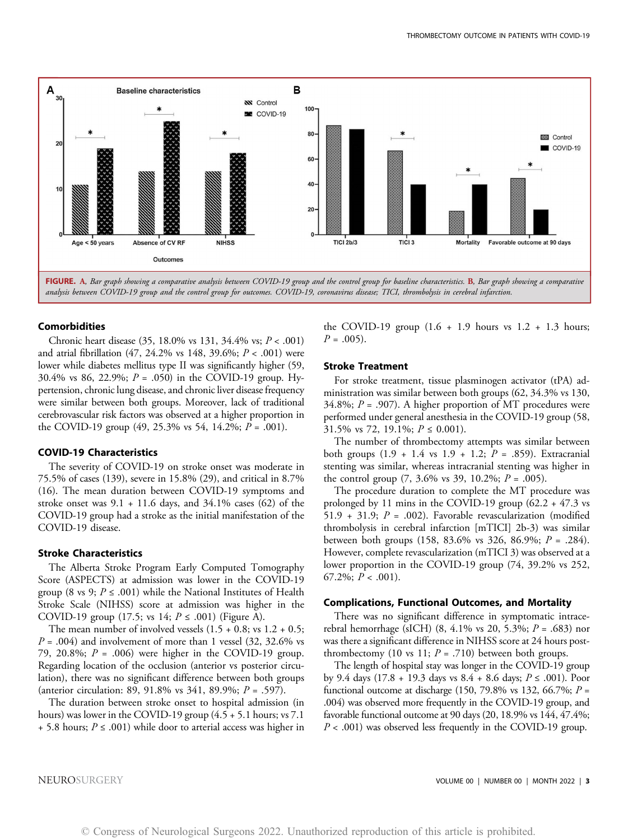

<span id="page-4-0"></span>analysis between COVID-19 group and the control group for outcomes. COVID-19, coronavirus disease; TICI, thrombolysis in cerebral infarction.

#### Comorbidities

Chronic heart disease  $(35, 18.0\% \text{ vs } 131, 34.4\% \text{ vs; } P < .001)$ and atrial fibrillation  $(47, 24.2\% \text{ vs } 148, 39.6\%; P < .001)$  were lower while diabetes mellitus type II was significantly higher (59, 30.4% vs 86, 22.9%;  $P = .050$  in the COVID-19 group. Hypertension, chronic lung disease, and chronic liver disease frequency were similar between both groups. Moreover, lack of traditional cerebrovascular risk factors was observed at a higher proportion in the COVID-19 group  $(49, 25.3\% \text{ vs } 54, 14.2\%; P = .001).$ 

## COVID-19 Characteristics

The severity of COVID-19 on stroke onset was moderate in 75.5% of cases (139), severe in 15.8% (29), and critical in 8.7% (16). The mean duration between COVID-19 symptoms and stroke onset was  $9.1 + 11.6$  days, and  $34.1\%$  cases (62) of the COVID-19 group had a stroke as the initial manifestation of the COVID-19 disease.

### Stroke Characteristics

The Alberta Stroke Program Early Computed Tomography Score (ASPECTS) at admission was lower in the COVID-19 group (8 vs 9;  $P \leq .001$ ) while the National Institutes of Health Stroke Scale (NIHSS) score at admission was higher in the COVID-19 group (17.5; vs 14;  $P \le 0.001$ ) ([Figure](#page-4-0) A).

The mean number of involved vessels  $(1.5 + 0.8; \text{vs } 1.2 + 0.5;$  $P = .004$ ) and involvement of more than 1 vessel (32, 32.6% vs 79, 20.8%;  $P = .006$ ) were higher in the COVID-19 group. Regarding location of the occlusion (anterior vs posterior circulation), there was no significant difference between both groups (anterior circulation: 89, 91.8% vs 341, 89.9%; P = .597).

The duration between stroke onset to hospital admission (in hours) was lower in the COVID-19 group (4.5 + 5.1 hours; vs 7.1 + 5.8 hours;  $P \le 0.001$ ) while door to arterial access was higher in the COVID-19 group  $(1.6 + 1.9)$  hours vs  $1.2 + 1.3$  hours;  $P = .005$ ).

## Stroke Treatment

For stroke treatment, tissue plasminogen activator (tPA) administration was similar between both groups (62, 34.3% vs 130, 34.8%;  $P = .907$ ). A higher proportion of MT procedures were performed under general anesthesia in the COVID-19 group (58, 31.5% vs 72, 19.1%;  $P \le 0.001$ ).

The number of thrombectomy attempts was similar between both groups  $(1.9 + 1.4 \text{ vs } 1.9 + 1.2; P = .859)$ . Extracranial stenting was similar, whereas intracranial stenting was higher in the control group  $(7, 3.6\% \text{ vs } 39, 10.2\%; P = .005)$ .

The procedure duration to complete the MT procedure was prolonged by 11 mins in the COVID-19 group (62.2 + 47.3 vs 51.9 + 31.9;  $P = .002$ ). Favorable revascularization (modified thrombolysis in cerebral infarction [mTICI] 2b-3) was similar between both groups (158, 83.6% vs 326, 86.9%;  $P = .284$ ). However, complete revascularization (mTICI 3) was observed at a lower proportion in the COVID-19 group (74, 39.2% vs 252, 67.2%;  $P < .001$ ).

#### Complications, Functional Outcomes, and Mortality

There was no significant difference in symptomatic intracerebral hemorrhage (sICH) (8, 4.1% vs 20, 5.3%;  $P = .683$ ) nor was there a significant difference in NIHSS score at 24 hours postthrombectomy (10 vs 11;  $P = .710$ ) between both groups.

The length of hospital stay was longer in the COVID-19 group by 9.4 days (17.8 + 19.3 days vs 8.4 + 8.6 days;  $P \text{ ≤ .001}$ ). Poor functional outcome at discharge (150, 79.8% vs 132, 66.7%;  $P =$ .004) was observed more frequently in the COVID-19 group, and favorable functional outcome at 90 days (20, 18.9% vs 144, 47.4%;  $P < .001$ ) was observed less frequently in the COVID-19 group.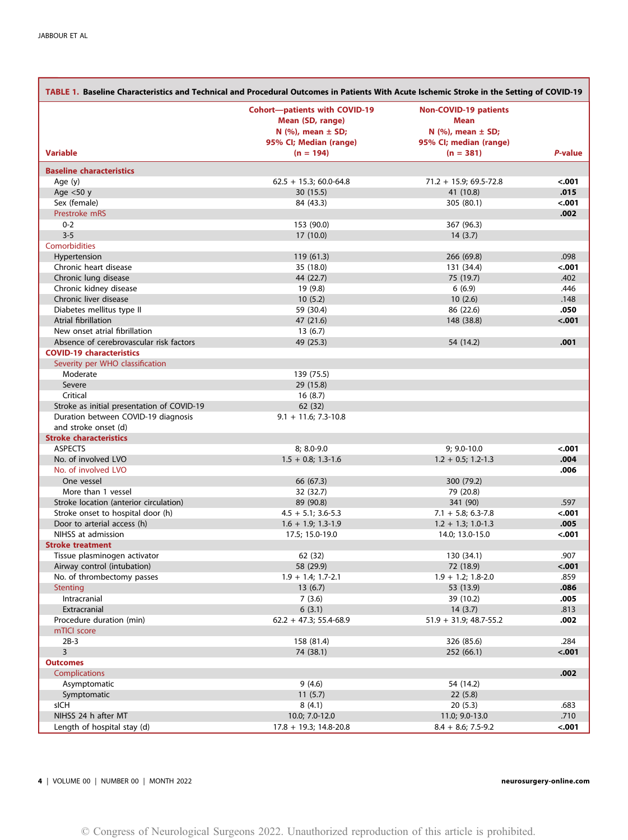<span id="page-5-0"></span>

| TABLE 1. Baseline Characteristics and Technical and Procedural Outcomes in Patients With Acute Ischemic Stroke in the Setting of COVID-19 |                                                                                                                |                                                                                           |                 |  |  |  |  |  |
|-------------------------------------------------------------------------------------------------------------------------------------------|----------------------------------------------------------------------------------------------------------------|-------------------------------------------------------------------------------------------|-----------------|--|--|--|--|--|
|                                                                                                                                           | <b>Cohort-patients with COVID-19</b><br>Mean (SD, range)<br>N $(%)$ , mean $\pm$ SD;<br>95% CI; Median (range) | <b>Non-COVID-19 patients</b><br>Mean<br>N $(%),$ mean $\pm$ SD;<br>95% CI; median (range) |                 |  |  |  |  |  |
| <b>Variable</b>                                                                                                                           | $(n = 194)$                                                                                                    | $(n = 381)$                                                                               | P-value         |  |  |  |  |  |
| <b>Baseline characteristics</b>                                                                                                           |                                                                                                                |                                                                                           |                 |  |  |  |  |  |
| Age $(y)$                                                                                                                                 | $62.5 + 15.3$ ; 60.0-64.8                                                                                      | $71.2 + 15.9; 69.5 - 72.8$                                                                | $-.001$         |  |  |  |  |  |
| Age $<$ 50 y                                                                                                                              | 30(15.5)                                                                                                       | 41 (10.8)                                                                                 | .015            |  |  |  |  |  |
| Sex (female)                                                                                                                              | 84 (43.3)                                                                                                      | 305 (80.1)                                                                                | $-.001$         |  |  |  |  |  |
| Prestroke mRS                                                                                                                             |                                                                                                                |                                                                                           | .002            |  |  |  |  |  |
| $0 - 2$                                                                                                                                   | 153 (90.0)                                                                                                     | 367 (96.3)                                                                                |                 |  |  |  |  |  |
| $3 - 5$                                                                                                                                   | 17(10.0)                                                                                                       | 14(3.7)                                                                                   |                 |  |  |  |  |  |
| Comorbidities                                                                                                                             |                                                                                                                |                                                                                           |                 |  |  |  |  |  |
| Hypertension                                                                                                                              | 119(61.3)                                                                                                      | 266 (69.8)                                                                                | .098            |  |  |  |  |  |
| Chronic heart disease                                                                                                                     | 35 (18.0)                                                                                                      | 131 (34.4)                                                                                | <.001           |  |  |  |  |  |
| Chronic lung disease                                                                                                                      | 44 (22.7)                                                                                                      | 75 (19.7)                                                                                 | .402            |  |  |  |  |  |
| Chronic kidney disease<br>Chronic liver disease                                                                                           | 19 (9.8)                                                                                                       | 6(6.9)                                                                                    | .446<br>.148    |  |  |  |  |  |
| Diabetes mellitus type II                                                                                                                 | 10(5.2)                                                                                                        | 10(2.6)                                                                                   |                 |  |  |  |  |  |
| Atrial fibrillation                                                                                                                       | 59 (30.4)<br>47 (21.6)                                                                                         | 86 (22.6)<br>148 (38.8)                                                                   | .050<br>$-.001$ |  |  |  |  |  |
| New onset atrial fibrillation                                                                                                             | 13(6.7)                                                                                                        |                                                                                           |                 |  |  |  |  |  |
| Absence of cerebrovascular risk factors                                                                                                   | 49 (25.3)                                                                                                      | 54 (14.2)                                                                                 | .001            |  |  |  |  |  |
| <b>COVID-19 characteristics</b>                                                                                                           |                                                                                                                |                                                                                           |                 |  |  |  |  |  |
| Severity per WHO classification                                                                                                           |                                                                                                                |                                                                                           |                 |  |  |  |  |  |
| Moderate                                                                                                                                  | 139 (75.5)                                                                                                     |                                                                                           |                 |  |  |  |  |  |
| Severe                                                                                                                                    | 29 (15.8)                                                                                                      |                                                                                           |                 |  |  |  |  |  |
| Critical                                                                                                                                  | 16(8.7)                                                                                                        |                                                                                           |                 |  |  |  |  |  |
| Stroke as initial presentation of COVID-19                                                                                                | 62 (32)                                                                                                        |                                                                                           |                 |  |  |  |  |  |
| Duration between COVID-19 diagnosis                                                                                                       | $9.1 + 11.6$ ; 7.3-10.8                                                                                        |                                                                                           |                 |  |  |  |  |  |
| and stroke onset (d)                                                                                                                      |                                                                                                                |                                                                                           |                 |  |  |  |  |  |
| <b>Stroke characteristics</b>                                                                                                             |                                                                                                                |                                                                                           |                 |  |  |  |  |  |
| <b>ASPECTS</b>                                                                                                                            | 8; 8.0-9.0                                                                                                     | 9; 9.0-10.0                                                                               | $-.001$         |  |  |  |  |  |
| No. of involved LVO                                                                                                                       | $1.5 + 0.8; 1.3 - 1.6$                                                                                         | $1.2 + 0.5; 1.2 - 1.3$                                                                    | .004            |  |  |  |  |  |
| No. of involved LVO                                                                                                                       |                                                                                                                |                                                                                           | .006            |  |  |  |  |  |
| One vessel                                                                                                                                | 66 (67.3)                                                                                                      | 300 (79.2)                                                                                |                 |  |  |  |  |  |
| More than 1 yessel                                                                                                                        | 32 (32.7)                                                                                                      | 79 (20.8)                                                                                 |                 |  |  |  |  |  |
| Stroke location (anterior circulation)                                                                                                    | 89 (90.8)                                                                                                      | 341 (90)                                                                                  | .597            |  |  |  |  |  |
| Stroke onset to hospital door (h)                                                                                                         | $4.5 + 5.1$ ; 3.6-5.3                                                                                          | $7.1 + 5.8; 6.3 - 7.8$                                                                    | $-.001$         |  |  |  |  |  |
| Door to arterial access (h)                                                                                                               | $1.6 + 1.9; 1.3 - 1.9$                                                                                         | $1.2 + 1.3$ ; 1.0-1.3                                                                     | .005            |  |  |  |  |  |
| NIHSS at admission                                                                                                                        | 17.5; 15.0-19.0                                                                                                | 14.0; 13.0-15.0                                                                           | $-.001$         |  |  |  |  |  |
| <b>Stroke treatment</b>                                                                                                                   |                                                                                                                |                                                                                           |                 |  |  |  |  |  |
| Tissue plasminogen activator                                                                                                              | 62 (32)                                                                                                        | 130 (34.1)                                                                                | .907            |  |  |  |  |  |
| Airway control (intubation)                                                                                                               | 58 (29.9)                                                                                                      | /2(18.9)                                                                                  | <.001           |  |  |  |  |  |
| No. of thrombectomy passes                                                                                                                | $1.9 + 1.4; 1.7 - 2.1$                                                                                         | $1.9 + 1.2; 1.8 - 2.0$                                                                    | .859            |  |  |  |  |  |
| <b>Stenting</b>                                                                                                                           | 13(6.7)                                                                                                        | 53 (13.9)                                                                                 | .086            |  |  |  |  |  |
| Intracranial                                                                                                                              | 7(3.6)                                                                                                         | 39 (10.2)                                                                                 | .005            |  |  |  |  |  |
| Extracranial                                                                                                                              | 6(3.1)                                                                                                         | 14(3.7)                                                                                   | .813            |  |  |  |  |  |
| Procedure duration (min)                                                                                                                  | $62.2 + 47.3$ ; 55.4-68.9                                                                                      | $51.9 + 31.9$ ; 48.7-55.2                                                                 | .002            |  |  |  |  |  |
| mTICI score                                                                                                                               |                                                                                                                |                                                                                           |                 |  |  |  |  |  |
| $2B-3$                                                                                                                                    | 158 (81.4)                                                                                                     | 326 (85.6)                                                                                | .284            |  |  |  |  |  |
| 3                                                                                                                                         | 74 (38.1)                                                                                                      | 252 (66.1)                                                                                | $-.001$         |  |  |  |  |  |
| <b>Outcomes</b>                                                                                                                           |                                                                                                                |                                                                                           |                 |  |  |  |  |  |
| <b>Complications</b>                                                                                                                      |                                                                                                                |                                                                                           | .002            |  |  |  |  |  |
| Asymptomatic                                                                                                                              | 9(4.6)                                                                                                         | 54 (14.2)                                                                                 |                 |  |  |  |  |  |
| Symptomatic                                                                                                                               | 11(5.7)                                                                                                        | 22(5.8)                                                                                   |                 |  |  |  |  |  |
| sICH                                                                                                                                      | 8(4.1)                                                                                                         | 20(5.3)                                                                                   | .683            |  |  |  |  |  |
| NIHSS 24 h after MT                                                                                                                       | 10.0; 7.0-12.0                                                                                                 | 11.0; 9.0-13.0                                                                            | .710            |  |  |  |  |  |
| Length of hospital stay (d)                                                                                                               | $17.8 + 19.3$ ; 14.8-20.8                                                                                      | $8.4 + 8.6$ ; 7.5-9.2                                                                     | $-.001$         |  |  |  |  |  |

4 | VOLUME 00 | NUMBER 00 | MONTH 2022 neurosurgery-online.com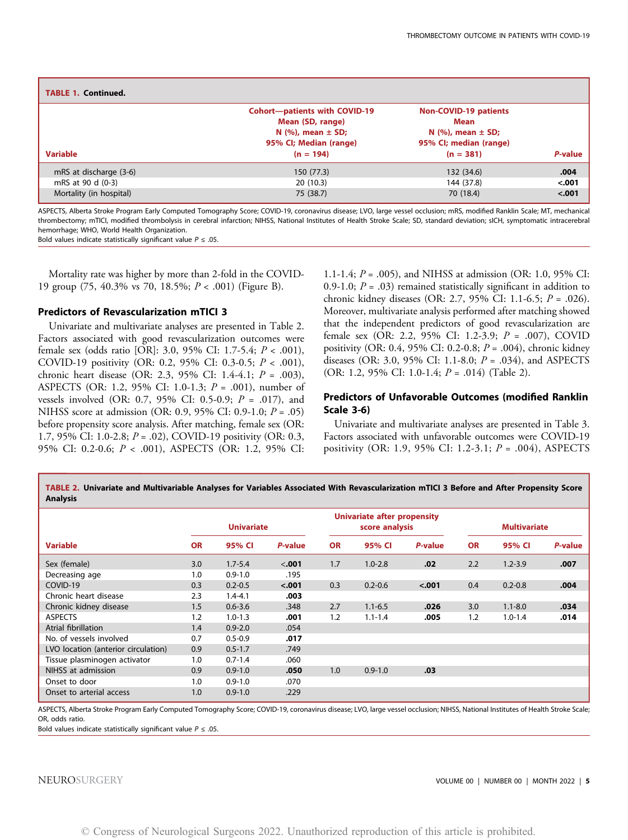| <b>TABLE 1. Continued.</b> |                                                                                                                                |                                                                                                            |         |
|----------------------------|--------------------------------------------------------------------------------------------------------------------------------|------------------------------------------------------------------------------------------------------------|---------|
| <b>Variable</b>            | <b>Cohort-patients with COVID-19</b><br>Mean (SD, range)<br>N $(\%)$ , mean $\pm$ SD;<br>95% CI; Median (range)<br>$(n = 194)$ | <b>Non-COVID-19 patients</b><br>Mean<br>N $(\%)$ , mean $\pm$ SD;<br>95% CI; median (range)<br>$(n = 381)$ | P-value |
| mRS at discharge (3-6)     | 150 (77.3)                                                                                                                     | 132 (34.6)                                                                                                 | .004    |
| mRS at 90 d (0-3)          | 20(10.3)                                                                                                                       | 144 (37.8)                                                                                                 | $-.001$ |
| Mortality (in hospital)    | 75 (38.7)                                                                                                                      | 70 (18.4)                                                                                                  | $-.001$ |

ASPECTS, Alberta Stroke Program Early Computed Tomography Score; COVID-19, coronavirus disease; LVO, large vessel occlusion; mRS, modified Ranklin Scale; MT, mechanical thrombectomy; mTICI, modified thrombolysis in cerebral infarction; NIHSS, National Institutes of Health Stroke Scale; SD, standard deviation; sICH, symptomatic intracerebral hemorrhage; WHO, World Health Organization. Bold values indicate statistically significant value  $P \leq .05$ .

Mortality rate was higher by more than 2-fold in the COVID-19 group (75, 40.3% vs 70, 18.5%; P < .001) [\(Figure](#page-4-0) B).

## Predictors of Revascularization mTICI 3

Univariate and multivariate analyses are presented in Table [2](#page-6-0). Factors associated with good revascularization outcomes were female sex (odds ratio [OR]: 3.0, 95% CI: 1.7-5.4; P < .001), COVID-19 positivity (OR: 0.2, 95% CI: 0.3-0.5; P < .001), chronic heart disease (OR: 2.3, 95% CI: 1.4-4.1; P = .003), ASPECTS (OR: 1.2, 95% CI: 1.0-1.3; P = .001), number of vessels involved (OR: 0.7, 95% CI: 0.5-0.9; P = .017), and NIHSS score at admission (OR: 0.9, 95% CI: 0.9-1.0; P = .05) before propensity score analysis. After matching, female sex (OR: 1.7, 95% CI: 1.0-2.8;  $P = .02$ ), COVID-19 positivity (OR: 0.3, 95% CI: 0.2-0.6; P < .001), ASPECTS (OR: 1.2, 95% CI:

1.1-1.4; P = .005), and NIHSS at admission (OR: 1.0, 95% CI: 0.9-1.0;  $P = .03$ ) remained statistically significant in addition to chronic kidney diseases (OR: 2.7, 95% CI: 1.1-6.5; P = .026). Moreover, multivariate analysis performed after matching showed that the independent predictors of good revascularization are female sex (OR: 2.2, 95% CI: 1.2-3.9; P = .007), COVID positivity (OR: 0.4, 95% CI: 0.2-0.8; P = .004), chronic kidney diseases (OR: 3.0, 95% CI: 1.1-8.0;  $P = .034$ ), and ASPECTS (OR: 1.2, 95% CI: 1.0-1.4;  $P = .014$ ) (Table [2\)](#page-6-0).

# Predictors of Unfavorable Outcomes (modified Ranklin Scale 3-6)

Univariate and multivariate analyses are presented in Table [3](#page-7-0). Factors associated with unfavorable outcomes were COVID-19 positivity (OR: 1.9, 95% CI: 1.2-3.1; P = .004), ASPECTS

TABLE 2. Univariate and Multivariable Analyses for Variables Associated With Revascularization mTICI 3 Before and After Propensity Score Analysis

|                                     | <b>Univariate</b> |             |         | <b>Univariate after propensity</b><br>score analysis |             |         | <b>Multivariate</b> |             |         |
|-------------------------------------|-------------------|-------------|---------|------------------------------------------------------|-------------|---------|---------------------|-------------|---------|
| <b>Variable</b>                     | <b>OR</b>         | 95% CI      | P-value | <b>OR</b>                                            | 95% CI      | P-value | <b>OR</b>           | 95% CI      | P-value |
| Sex (female)                        | 3.0               | $1.7 - 5.4$ | $-.001$ | 1.7                                                  | $1.0 - 2.8$ | .02     | 2.2                 | $1.2 - 3.9$ | .007    |
| Decreasing age                      | 1.0               | $0.9 - 1.0$ | .195    |                                                      |             |         |                     |             |         |
| COVID-19                            | 0.3               | $0.2 - 0.5$ | $-.001$ | 0.3                                                  | $0.2 - 0.6$ | < .001  | 0.4                 | $0.2 - 0.8$ | .004    |
| Chronic heart disease               | 2.3               | $1.4 - 4.1$ | .003    |                                                      |             |         |                     |             |         |
| Chronic kidney disease              | 1.5               | $0.6 - 3.6$ | .348    | 2.7                                                  | $1.1 - 6.5$ | .026    | 3.0                 | $1.1 - 8.0$ | .034    |
| <b>ASPECTS</b>                      | 1.2               | $1.0 - 1.3$ | .001    | 1.2                                                  | $1.1 - 1.4$ | .005    | 1.2                 | $1.0 - 1.4$ | .014    |
| Atrial fibrillation                 | 1.4               | $0.9 - 2.0$ | .054    |                                                      |             |         |                     |             |         |
| No. of vessels involved             | 0.7               | $0.5 - 0.9$ | .017    |                                                      |             |         |                     |             |         |
| LVO location (anterior circulation) | 0.9               | $0.5 - 1.7$ | .749    |                                                      |             |         |                     |             |         |
| Tissue plasminogen activator        | 1.0               | $0.7 - 1.4$ | .060    |                                                      |             |         |                     |             |         |
| NIHSS at admission                  | 0.9               | $0.9 - 1.0$ | .050    | 1.0                                                  | $0.9 - 1.0$ | .03     |                     |             |         |
| Onset to door                       | 1.0               | $0.9 - 1.0$ | .070    |                                                      |             |         |                     |             |         |
| Onset to arterial access            | 1.0               | $0.9 - 1.0$ | .229    |                                                      |             |         |                     |             |         |

ASPECTS, Alberta Stroke Program Early Computed Tomography Score; COVID-19, coronavirus disease; LVO, large vessel occlusion; NIHSS, National Institutes of Health Stroke Scale; OR, odds ratio.

<span id="page-6-0"></span>Bold values indicate statistically significant value  $P \leq .05$ .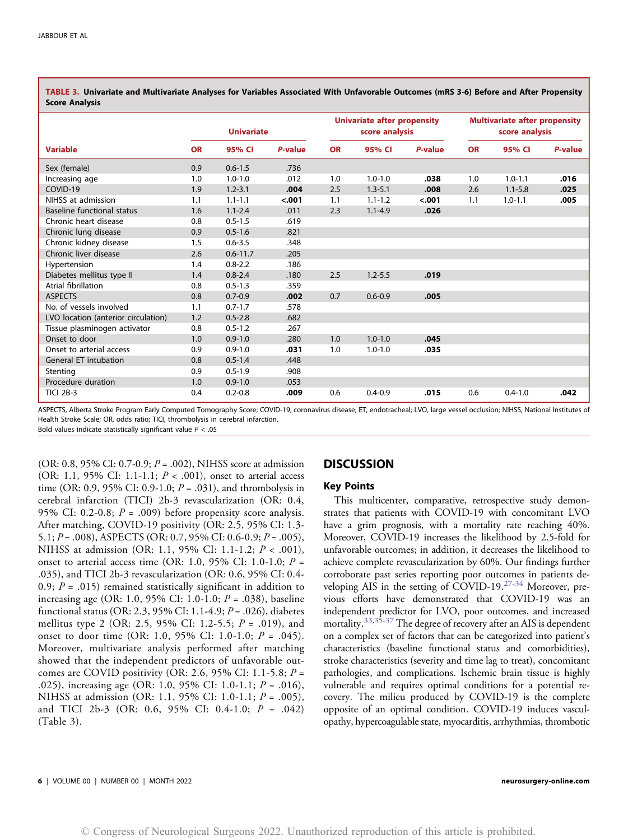|                                     | <b>Univariate</b> |              |         | <b>Univariate after propensity</b><br>score analysis |             |         | <b>Multivariate after propensity</b><br>score analysis |             |         |
|-------------------------------------|-------------------|--------------|---------|------------------------------------------------------|-------------|---------|--------------------------------------------------------|-------------|---------|
| <b>Variable</b>                     | <b>OR</b>         | 95% CI       | P-value | <b>OR</b>                                            | 95% CI      | P-value | <b>OR</b>                                              | 95% CI      | P-value |
| Sex (female)                        | 0.9               | $0.6 - 1.5$  | .736    |                                                      |             |         |                                                        |             |         |
| Increasing age                      | 1.0               | $1.0 - 1.0$  | .012    | 1.0                                                  | $1.0 - 1.0$ | .038    | 1.0                                                    | $1.0 - 1.1$ | .016    |
| COVID-19                            | 1.9               | $1.2 - 3.1$  | .004    | 2.5                                                  | $1.3 - 5.1$ | .008    | 2.6                                                    | $1.1 - 5.8$ | .025    |
| NIHSS at admission                  | 1.1               | $1.1 - 1.1$  | $-.001$ | 1.1                                                  | $1.1 - 1.2$ | < .001  | 1.1                                                    | $1.0 - 1.1$ | .005    |
| Baseline functional status          | 1.6               | $1.1 - 2.4$  | .011    | 2.3                                                  | $1.1 - 4.9$ | .026    |                                                        |             |         |
| Chronic heart disease               | 0.8               | $0.5 - 1.5$  | .619    |                                                      |             |         |                                                        |             |         |
| Chronic lung disease                | 0.9               | $0.5 - 1.6$  | .821    |                                                      |             |         |                                                        |             |         |
| Chronic kidney disease              | 1.5               | $0.6 - 3.5$  | .348    |                                                      |             |         |                                                        |             |         |
| Chronic liver disease               | 2.6               | $0.6 - 11.7$ | .205    |                                                      |             |         |                                                        |             |         |
| Hypertension                        | 1.4               | $0.8 - 2.2$  | .186    |                                                      |             |         |                                                        |             |         |
| Diabetes mellitus type II           | 1.4               | $0.8 - 2.4$  | .180    | 2.5                                                  | $1.2 - 5.5$ | .019    |                                                        |             |         |
| Atrial fibrillation                 | 0.8               | $0.5 - 1.3$  | .359    |                                                      |             |         |                                                        |             |         |
| <b>ASPECTS</b>                      | 0.8               | $0.7 - 0.9$  | .002    | 0.7                                                  | $0.6 - 0.9$ | .005    |                                                        |             |         |
| No. of vessels involved             | 1.1               | $0.7 - 1.7$  | .578    |                                                      |             |         |                                                        |             |         |
| LVO location (anterior circulation) | 1.2               | $0.5 - 2.8$  | .682    |                                                      |             |         |                                                        |             |         |
| Tissue plasminogen activator        | 0.8               | $0.5 - 1.2$  | .267    |                                                      |             |         |                                                        |             |         |
| Onset to door                       | 1.0               | $0.9 - 1.0$  | .280    | 1.0                                                  | $1.0 - 1.0$ | .045    |                                                        |             |         |
| Onset to arterial access            | 0.9               | $0.9 - 1.0$  | .031    | 1.0                                                  | $1.0 - 1.0$ | .035    |                                                        |             |         |
| <b>General ET intubation</b>        | 0.8               | $0.5 - 1.4$  | .448    |                                                      |             |         |                                                        |             |         |
| Stenting                            | 0.9               | $0.5 - 1.9$  | .908    |                                                      |             |         |                                                        |             |         |
| Procedure duration                  | 1.0               | $0.9 - 1.0$  | .053    |                                                      |             |         |                                                        |             |         |
| <b>TICI 2B-3</b>                    | 0.4               | $0.2 - 0.8$  | .009    | 0.6                                                  | $0.4 - 0.9$ | .015    | 0.6                                                    | $0.4 - 1.0$ | .042    |

TABLE 3. Univariate and Multivariate Analyses for Variables Associated With Unfavorable Outcomes (mRS 3-6) Before and After Propensity Score Analysis

<span id="page-7-0"></span>ASPECTS, Alberta Stroke Program Early Computed Tomography Score; COVID-19, coronavirus disease; ET, endotracheal; LVO, large vessel occlusion; NIHSS, National Institutes of Health Stroke Scale; OR, odds ratio; TICI, thrombolysis in cerebral infarction. Bold values indicate statistically significant value  $P < .05$ 

(OR: 0.8, 95% CI: 0.7-0.9;  $P = .002$ ), NIHSS score at admission (OR: 1.1, 95% CI: 1.1-1.1;  $P < .001$ ), onset to arterial access time (OR: 0.9, 95% CI: 0.9-1.0;  $P = .031$ ), and thrombolysis in cerebral infarction (TICI) 2b-3 revascularization (OR: 0.4, 95% CI: 0.2-0.8;  $P = .009$ ) before propensity score analysis. After matching, COVID-19 positivity (OR: 2.5, 95% CI: 1.3- 5.1;  $P = .008$ ), ASPECTS (OR: 0.7, 95% CI: 0.6-0.9;  $P = .005$ ), NIHSS at admission (OR: 1.1, 95% CI: 1.1-1.2; P < .001), onset to arterial access time (OR: 1.0, 95% CI: 1.0-1.0;  $P =$ .035), and TICI 2b-3 revascularization (OR: 0.6, 95% CI: 0.4- 0.9;  $P = .015$ ) remained statistically significant in addition to increasing age (OR: 1.0, 95% CI: 1.0-1.0;  $P = .038$ ), baseline functional status (OR: 2.3, 95% CI: 1.1-4.9;  $P = .026$ ), diabetes mellitus type 2 (OR: 2.5, 95% CI: 1.2-5.5;  $P = .019$ ), and onset to door time (OR: 1.0, 95% CI: 1.0-1.0;  $P = .045$ ). Moreover, multivariate analysis performed after matching showed that the independent predictors of unfavorable outcomes are COVID positivity (OR: 2.6, 95% CI: 1.1-5.8;  $P =$ .025), increasing age (OR: 1.0, 95% CI: 1.0-1.1;  $P = .016$ ), NIHSS at admission (OR: 1.1, 95% CI: 1.0-1.1; P = .005), and TICI 2b-3 (OR: 0.6, 95% CI: 0.4-1.0; P = .042) (Table [3](#page-7-0)).

# **DISCUSSION**

### Key Points

This multicenter, comparative, retrospective study demonstrates that patients with COVID-19 with concomitant LVO have a grim prognosis, with a mortality rate reaching 40%. Moreover, COVID-19 increases the likelihood by 2.5-fold for unfavorable outcomes; in addition, it decreases the likelihood to achieve complete revascularization by 60%. Our findings further corroborate past series reporting poor outcomes in patients developing AIS in the setting of COVID-19.[27](#page-9-2)-[34](#page-10-0) Moreover, previous efforts have demonstrated that COVID-19 was an independent predictor for LVO, poor outcomes, and increased mortality.<sup>[33,](#page-10-1)[35-](#page-10-2)[37](#page-10-3)</sup> The degree of recovery after an AIS is dependent on a complex set of factors that can be categorized into patient's characteristics (baseline functional status and comorbidities), stroke characteristics (severity and time lag to treat), concomitant pathologies, and complications. Ischemic brain tissue is highly vulnerable and requires optimal conditions for a potential recovery. The milieu produced by COVID-19 is the complete opposite of an optimal condition. COVID-19 induces vasculopathy, hypercoagulable state, myocarditis, arrhythmias, thrombotic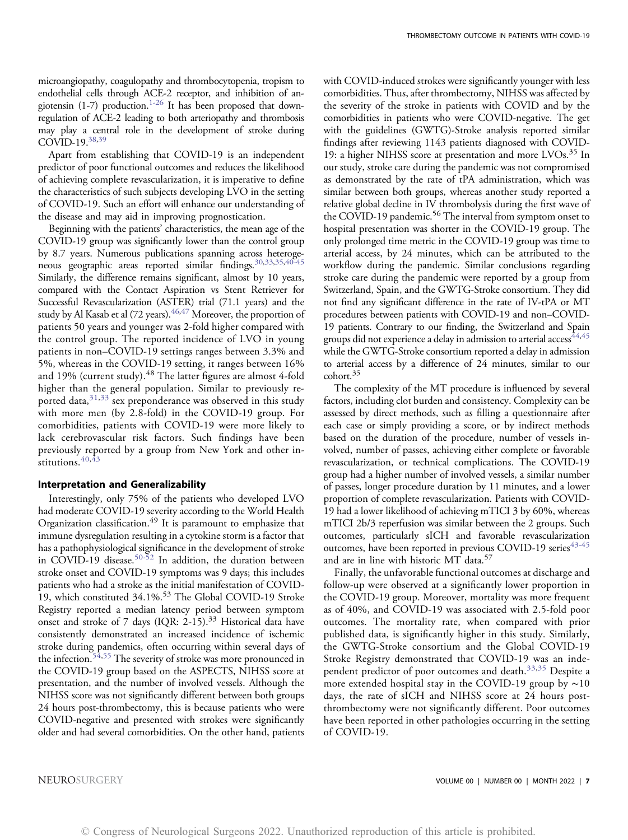microangiopathy, coagulopathy and thrombocytopenia, tropism to endothelial cells through ACE-2 receptor, and inhibition of angiotensin  $(1-7)$  $(1-7)$  $(1-7)$  production.<sup>1-[26](#page-9-1)</sup> It has been proposed that downregulation of ACE-2 leading to both arteriopathy and thrombosis may play a central role in the development of stroke during  $COVID-19.38,39$  $COVID-19.38,39$  $COVID-19.38,39$ 

Apart from establishing that COVID-19 is an independent predictor of poor functional outcomes and reduces the likelihood of achieving complete revascularization, it is imperative to define the characteristics of such subjects developing LVO in the setting of COVID-19. Such an effort will enhance our understanding of the disease and may aid in improving prognostication.

Beginning with the patients' characteristics, the mean age of the COVID-19 group was significantly lower than the control group by 8.7 years. Numerous publications spanning across heterogeneous geographic areas reported similar findings[.30,](#page-10-6)[33](#page-10-1)[,35,](#page-10-2)[40](#page-10-7)-[45](#page-10-8) Similarly, the difference remains significant, almost by 10 years, compared with the Contact Aspiration vs Stent Retriever for Successful Revascularization (ASTER) trial (71.1 years) and the study by Al Kasab et al (72 years).  $46,47$  $46,47$  Moreover, the proportion of patients 50 years and younger was 2-fold higher compared with the control group. The reported incidence of LVO in young patients in non–COVID-19 settings ranges between 3.3% and 5%, whereas in the COVID-19 setting, it ranges between 16% and 19% (current study).<sup>[48](#page-10-11)</sup> The latter figures are almost 4-fold higher than the general population. Similar to previously re-ported data, [31](#page-10-12)[,33](#page-10-1) sex preponderance was observed in this study with more men (by 2.8-fold) in the COVID-19 group. For comorbidities, patients with COVID-19 were more likely to lack cerebrovascular risk factors. Such findings have been previously reported by a group from New York and other institutions.  $40,43$  $40,43$ 

### Interpretation and Generalizability

Interestingly, only 75% of the patients who developed LVO had moderate COVID-19 severity according to the World Health Organization classification.[49](#page-10-14) It is paramount to emphasize that immune dysregulation resulting in a cytokine storm is a factor that has a pathophysiological significance in the development of stroke in COVID-19 disease.[50](#page-10-15)-[52](#page-10-16) In addition, the duration between stroke onset and COVID-19 symptoms was 9 days; this includes patients who had a stroke as the initial manifestation of COVID-19, which constituted 34.1%.<sup>[53](#page-10-17)</sup> The Global COVID-19 Stroke Registry reported a median latency period between symptom onset and stroke of 7 days (IQR: 2-15).<sup>[33](#page-10-1)</sup> Historical data have consistently demonstrated an increased incidence of ischemic stroke during pandemics, often occurring within several days of the infection.<sup>[54,](#page-10-18)[55](#page-10-19)</sup> The severity of stroke was more pronounced in the COVID-19 group based on the ASPECTS, NIHSS score at presentation, and the number of involved vessels. Although the NIHSS score was not significantly different between both groups 24 hours post-thrombectomy, this is because patients who were COVID-negative and presented with strokes were significantly older and had several comorbidities. On the other hand, patients

with COVID-induced strokes were significantly younger with less comorbidities. Thus, after thrombectomy, NIHSS was affected by the severity of the stroke in patients with COVID and by the comorbidities in patients who were COVID-negative. The get with the guidelines (GWTG)-Stroke analysis reported similar findings after reviewing 1143 patients diagnosed with COVID-19: a higher NIHSS score at presentation and more LVOs.<sup>[35](#page-10-2)</sup> In our study, stroke care during the pandemic was not compromised as demonstrated by the rate of tPA administration, which was similar between both groups, whereas another study reported a relative global decline in IV thrombolysis during the first wave of the COVID-19 pandemic.<sup>[56](#page-10-20)</sup> The interval from symptom onset to hospital presentation was shorter in the COVID-19 group. The only prolonged time metric in the COVID-19 group was time to arterial access, by 24 minutes, which can be attributed to the workflow during the pandemic. Similar conclusions regarding stroke care during the pandemic were reported by a group from Switzerland, Spain, and the GWTG-Stroke consortium. They did not find any significant difference in the rate of IV-tPA or MT procedures between patients with COVID-19 and non–COVID-19 patients. Contrary to our finding, the Switzerland and Spain groups did not experience a delay in admission to arterial access<sup>44,[45](#page-10-8)</sup> while the GWTG-Stroke consortium reported a delay in admission to arterial access by a difference of 24 minutes, similar to our cohort[.35](#page-10-2)

The complexity of the MT procedure is influenced by several factors, including clot burden and consistency. Complexity can be assessed by direct methods, such as filling a questionnaire after each case or simply providing a score, or by indirect methods based on the duration of the procedure, number of vessels involved, number of passes, achieving either complete or favorable revascularization, or technical complications. The COVID-19 group had a higher number of involved vessels, a similar number of passes, longer procedure duration by 11 minutes, and a lower proportion of complete revascularization. Patients with COVID-19 had a lower likelihood of achieving mTICI 3 by 60%, whereas mTICI 2b/3 reperfusion was similar between the 2 groups. Such outcomes, particularly sICH and favorable revascularization outcomes, have been reported in previous COVID-19 series<sup>[43](#page-10-13)-[45](#page-10-8)</sup> and are in line with historic MT data.[57](#page-10-22)

Finally, the unfavorable functional outcomes at discharge and follow-up were observed at a significantly lower proportion in the COVID-19 group. Moreover, mortality was more frequent as of 40%, and COVID-19 was associated with 2.5-fold poor outcomes. The mortality rate, when compared with prior published data, is significantly higher in this study. Similarly, the GWTG-Stroke consortium and the Global COVID-19 Stroke Registry demonstrated that COVID-19 was an inde-pendent predictor of poor outcomes and death.<sup>[33,](#page-10-1)[35](#page-10-2)</sup> Despite a more extended hospital stay in the COVID-19 group by ∼10 days, the rate of sICH and NIHSS score at 24 hours postthrombectomy were not significantly different. Poor outcomes have been reported in other pathologies occurring in the setting of COVID-19.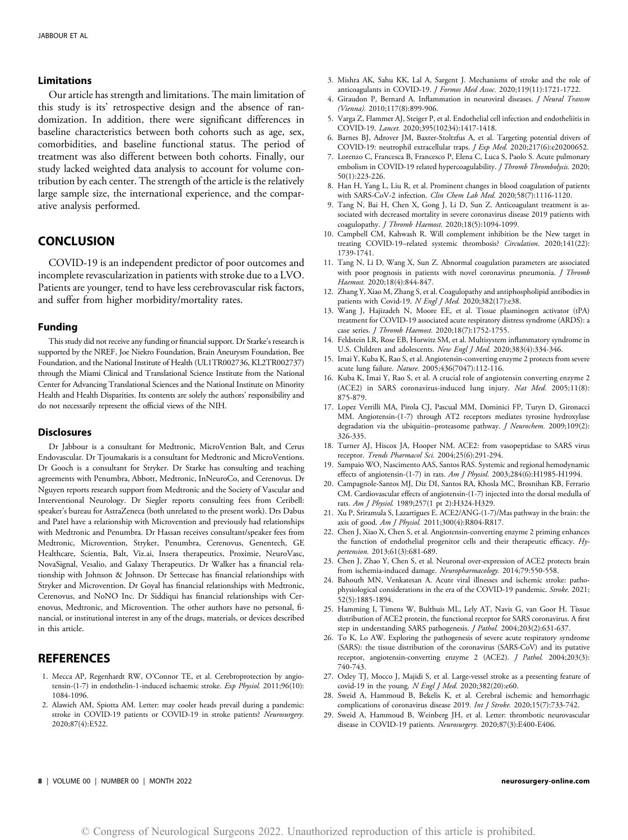#### Limitations

Our article has strength and limitations. The main limitation of this study is its' retrospective design and the absence of randomization. In addition, there were significant differences in baseline characteristics between both cohorts such as age, sex, comorbidities, and baseline functional status. The period of treatment was also different between both cohorts. Finally, our study lacked weighted data analysis to account for volume contribution by each center. The strength of the article is the relatively large sample size, the international experience, and the comparative analysis performed.

# **CONCLUSION**

COVID-19 is an independent predictor of poor outcomes and incomplete revascularization in patients with stroke due to a LVO. Patients are younger, tend to have less cerebrovascular risk factors, and suffer from higher morbidity/mortality rates.

#### Funding

This study did not receive any funding or financial support. Dr Starke's research is supported by the NREF, Joe Niekro Foundation, Brain Aneurysm Foundation, Bee Foundation, and the National Institute of Health (UL1TR002736, KL2TR002737) through the Miami Clinical and Translational Science Institute from the National Center for Advancing Translational Sciences and the National Institute on Minority Health and Health Disparities. Its contents are solely the authors' responsibility and do not necessarily represent the official views of the NIH.

### **Disclosures**

Dr Jabbour is a consultant for Medtronic, MicroVention Balt, and Cerus Endovascular. Dr Tjoumakaris is a consultant for Medtronic and MicroVentions. Dr Gooch is a consultant for Stryker. Dr Starke has consulting and teaching agreements with Penumbra, Abbott, Medtronic, InNeuroCo, and Cerenovus. Dr Nguyen reports research support from Medtronic and the Society of Vascular and Interventional Neurology. Dr Siegler reports consulting fees from Ceribell: speaker's bureau for AstraZeneca (both unrelated to the present work). Drs Dabus and Patel have a relationship with Microvention and previously had relationships with Medtronic and Penumbra. Dr Hassan receives consultant/speaker fees from Medtronic, Microvention, Stryker, Penumbra, Cerenovus, Genentech, GE Healthcare, Scientia, Balt, Viz.ai, Insera therapeutics, Proximie, NeuroVasc, NovaSignal, Vesalio, and Galaxy Therapeutics. Dr Walker has a financial relationship with Johnson & Johnson. Dr Settecase has financial relationships with Stryker and Microvention. Dr Goyal has financial relationships with Medtronic, Cerenovus, and NoNO Inc. Dr Siddiqui has financial relationships with Cerenovus, Medtronic, and Microvention. The other authors have no personal, financial, or institutional interest in any of the drugs, materials, or devices described in this article.

# REFERENCES

- <span id="page-9-0"></span>1. Mecca AP, Regenhardt RW, O'Connor TE, et al. Cerebroprotection by angiotensin-(1-7) in endothelin-1-induced ischaemic stroke. Exp Physiol. 2011;96(10): 1084-1096.
- 2. Alawieh AM, Spiotta AM. Letter: may cooler heads prevail during a pandemic: stroke in COVID-19 patients or COVID-19 in stroke patients? Neurosurgery. 2020;87(4):E522.
- 3. Mishra AK, Sahu KK, Lal A, Sargent J. Mechanisms of stroke and the role of anticoagulants in COVID-19. J Formos Med Assoc. 2020;119(11):1721-1722.
- 4. Giraudon P, Bernard A. Inflammation in neuroviral diseases. J Neural Transm (Vienna). 2010;117(8):899-906.
- 5. Varga Z, Flammer AJ, Steiger P, et al. Endothelial cell infection and endotheliitis in COVID-19. Lancet. 2020;395(10234):1417-1418.
- 6. Barnes BJ, Adrover JM, Baxter-Stoltzfus A, et al. Targeting potential drivers of COVID-19: neutrophil extracellular traps. J Exp Med. 2020;217(6):e20200652.
- 7. Lorenzo C, Francesca B, Francesco P, Elena C, Luca S, Paolo S. Acute pulmonary embolism in COVID-19 related hypercoagulability. *J Thromb Thrombolysis*. 2020; 50(1):223-226.
- 8. Han H, Yang L, Liu R, et al. Prominent changes in blood coagulation of patients with SARS-CoV-2 infection. Clin Chem Lab Med. 2020;58(7):1116-1120.
- 9. Tang N, Bai H, Chen X, Gong J, Li D, Sun Z. Anticoagulant treatment is associated with decreased mortality in severe coronavirus disease 2019 patients with coagulopathy. *J Thromb Haemost.* 2020;18(5):1094-1099.
- 10. Campbell CM, Kahwash R. Will complement inhibition be the New target in treating COVID-19–related systemic thrombosis? Circulation. 2020;141(22): 1739-1741.
- 11. Tang N, Li D, Wang X, Sun Z. Abnormal coagulation parameters are associated with poor prognosis in patients with novel coronavirus pneumonia. J Thromb Haemost. 2020;18(4):844-847.
- 12. Zhang Y, Xiao M, Zhang S, et al. Coagulopathy and antiphospholipid antibodies in patients with Covid-19. N Engl J Med. 2020;382(17):e38.
- 13. Wang J, Hajizadeh N, Moore EE, et al. Tissue plasminogen activator (tPA) treatment for COVID-19 associated acute respiratory distress syndrome (ARDS): a case series. *J Thromb Haemost.* 2020;18(7):1752-1755.
- 14. Feldstein LR, Rose EB, Horwitz SM, et al. Multisystem inflammatory syndrome in U.S. Children and adolescents. New Engl J Med. 2020;383(4):334-346.
- 15. Imai Y, Kuba K, Rao S, et al. Angiotensin-converting enzyme 2 protects from severe acute lung failure. Nature. 2005;436(7047):112-116.
- 16. Kuba K, Imai Y, Rao S, et al. A crucial role of angiotensin converting enzyme 2 (ACE2) in SARS coronavirus-induced lung injury. Nat Med. 2005;11(8): 875-879.
- 17. Lopez Verrilli MA, Pirola CJ, Pascual MM, Dominici FP, Turyn D, Gironacci MM. Angiotensin-(1-7) through AT2 receptors mediates tyrosine hydroxylase degradation via the ubiquitin-proteasome pathway. *J Neurochem.* 2009;109(2): 326-335.
- 18. Turner AJ, Hiscox JA, Hooper NM. ACE2: from vasopeptidase to SARS virus receptor. Trends Pharmacol Sci. 2004;25(6):291-294.
- 19. Sampaio WO, Nascimento AAS, Santos RAS. Systemic and regional hemodynamic effects of angiotensin-(1-7) in rats. Am J Physiol. 2003;284(6):H1985-H1994.
- 20. Campagnole-Santos MJ, Diz DI, Santos RA, Khosla MC, Brosnihan KB, Ferrario CM. Cardiovascular effects of angiotensin-(1-7) injected into the dorsal medulla of rats. Am J Physiol. 1989;257(1 pt 2):H324-H329.
- 21. Xu P, Sriramula S, Lazartigues E. ACE2/ANG-(1-7)/Mas pathway in the brain: the axis of good. Am J Physiol. 2011;300(4):R804-R817.
- 22. Chen J, Xiao X, Chen S, et al. Angiotensin-converting enzyme 2 priming enhances the function of endothelial progenitor cells and their therapeutic efficacy. Hypertension. 2013;61(3):681-689.
- 23. Chen J, Zhao Y, Chen S, et al. Neuronal over-expression of ACE2 protects brain from ischemia-induced damage. Neuropharmacology. 2014;79:550-558.
- 24. Bahouth MN, Venkatesan A. Acute viral illnesses and ischemic stroke: pathophysiological considerations in the era of the COVID-19 pandemic. Stroke. 2021; 52(5):1885-1894.
- 25. Hamming I, Timens W, Bulthuis ML, Lely AT, Navis G, van Goor H. Tissue distribution of ACE2 protein, the functional receptor for SARS coronavirus. A first step in understanding SARS pathogenesis. J Pathol. 2004;203(2):631-637.
- <span id="page-9-1"></span>26. To K, Lo AW. Exploring the pathogenesis of severe acute respiratory syndrome (SARS): the tissue distribution of the coronavirus (SARS-CoV) and its putative receptor, angiotensin-converting enzyme 2 (ACE2). *J Pathol.* 2004;203(3): 740-743.
- <span id="page-9-2"></span>27. Oxley TJ, Mocco J, Majidi S, et al. Large-vessel stroke as a presenting feature of covid-19 in the young. N Engl J Med. 2020;382(20):e60.
- 28. Sweid A, Hammoud B, Bekelis K, et al. Cerebral ischemic and hemorrhagic complications of coronavirus disease 2019. Int J Stroke. 2020;15(7):733-742.
- 29. Sweid A, Hammoud B, Weinberg JH, et al. Letter: thrombotic neurovascular disease in COVID-19 patients. Neurosurgery. 2020;87(3):E400-E406.